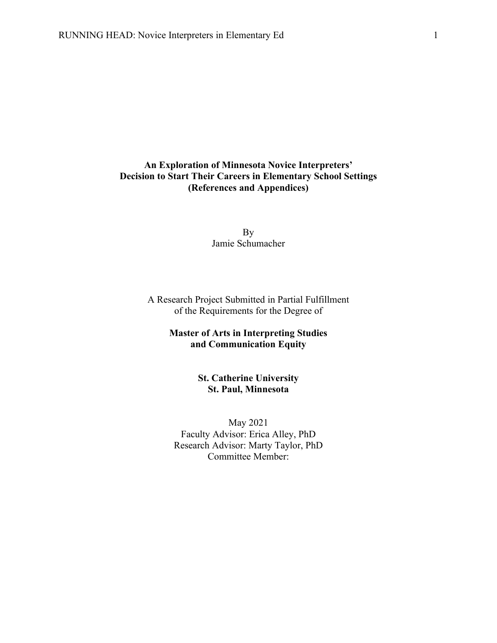### **An Exploration of Minnesota Novice Interpreters' Decision to Start Their Careers in Elementary School Settings (References and Appendices)**

By Jamie Schumacher

A Research Project Submitted in Partial Fulfillment of the Requirements for the Degree of

### **Master of Arts in Interpreting Studies and Communication Equity**

**St. Catherine University St. Paul, Minnesota**

May 2021 Faculty Advisor: Erica Alley, PhD Research Advisor: Marty Taylor, PhD Committee Member: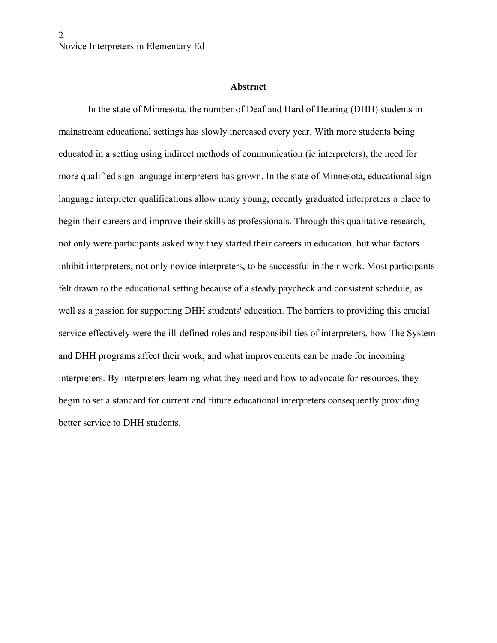#### **Abstract**

In the state of Minnesota, the number of Deaf and Hard of Hearing (DHH) students in mainstream educational settings has slowly increased every year. With more students being educated in a setting using indirect methods of communication (ie interpreters), the need for more qualified sign language interpreters has grown. In the state of Minnesota, educational sign language interpreter qualifications allow many young, recently graduated interpreters a place to begin their careers and improve their skills as professionals. Through this qualitative research, not only were participants asked why they started their careers in education, but what factors inhibit interpreters, not only novice interpreters, to be successful in their work. Most participants felt drawn to the educational setting because of a steady paycheck and consistent schedule, as well as a passion for supporting DHH students' education. The barriers to providing this crucial service effectively were the ill-defined roles and responsibilities of interpreters, how The System and DHH programs affect their work, and what improvements can be made for incoming interpreters. By interpreters learning what they need and how to advocate for resources, they begin to set a standard for current and future educational interpreters consequently providing better service to DHH students.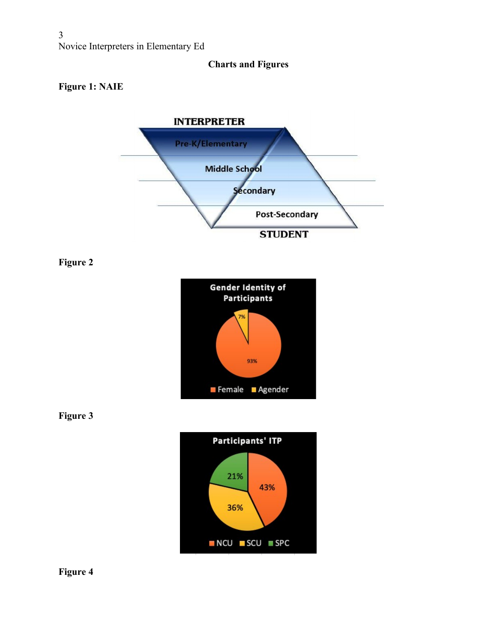# **Charts and Figures**

# **Figure 1: NAIE**



**Figure 2**







**Figure 4**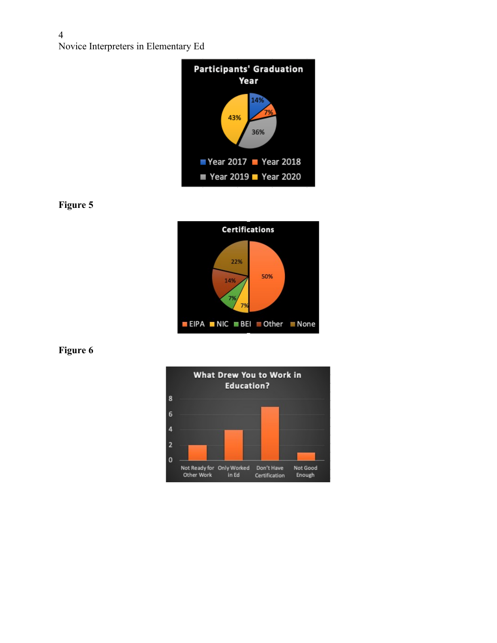

**Figure 5**



**Figure 6**

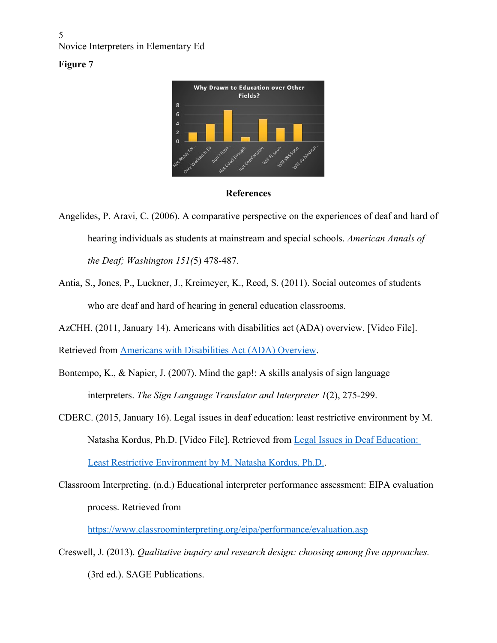## **Figure 7**



### **References**

- Angelides, P. Aravi, C. (2006). A comparative perspective on the experiences of deaf and hard of hearing individuals as students at mainstream and special schools. *American Annals of the Deaf; Washington 151(*5) 478-487.
- Antia, S., Jones, P., Luckner, J., Kreimeyer, K., Reed, S. (2011). Social outcomes of students who are deaf and hard of hearing in general education classrooms.
- AzCHH. (2011, January 14). Americans with disabilities act (ADA) overview. [Video File].

Retrieved from [Americans with Disabilities Act \(ADA\) Overview.](https://www.youtube.com/watch?v=tCTjRuAR1oA&ab_channel=AzCDHH)

- Bontempo, K., & Napier, J. (2007). Mind the gap!: A skills analysis of sign language interpreters. *The Sign Langauge Translator and Interpreter 1*(2), 275-299.
- CDERC. (2015, January 16). Legal issues in deaf education: least restrictive environment by M. Natasha Kordus, Ph.D. [Video File]. Retrieved from [Legal Issues in Deaf Education:](https://www.youtube.com/watch?v=rERAoliF3-0&ab_channel=CaliforniaDeafEducationResourcesCenter)  [Least Restrictive Environment by M. Natasha Kordus, Ph.D..](https://www.youtube.com/watch?v=rERAoliF3-0&ab_channel=CaliforniaDeafEducationResourcesCenter)
- Classroom Interpreting. (n.d.) Educational interpreter performance assessment: EIPA evaluation process. Retrieved from

<https://www.classroominterpreting.org/eipa/performance/evaluation.asp>

Creswell, J. (2013). *Qualitative inquiry and research design: choosing among five approaches.*  (3rd ed.). SAGE Publications.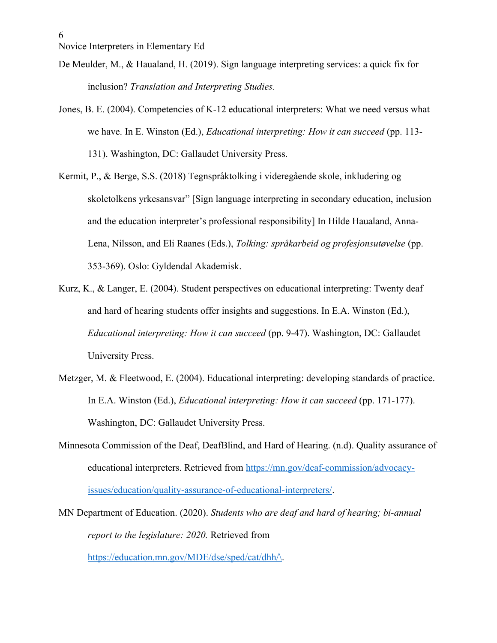- De Meulder, M., & Haualand, H. (2019). Sign language interpreting services: a quick fix for inclusion? *Translation and Interpreting Studies.*
- Jones, B. E. (2004). Competencies of K-12 educational interpreters: What we need versus what we have. In E. Winston (Ed.), *Educational interpreting: How it can succeed* (pp. 113- 131). Washington, DC: Gallaudet University Press.
- Kermit, P., & Berge, S.S. (2018) Tegnspråktolking i videregående skole, inkludering og skoletolkens yrkesansvar" [Sign language interpreting in secondary education, inclusion and the education interpreter's professional responsibility] In Hilde Haualand, Anna-Lena, Nilsson, and Eli Raanes (Eds.), *Tolking: språkarbeid og profesjonsutøvelse* (pp. 353-369). Oslo: Gyldendal Akademisk.
- Kurz, K., & Langer, E. (2004). Student perspectives on educational interpreting: Twenty deaf and hard of hearing students offer insights and suggestions. In E.A. Winston (Ed.), *Educational interpreting: How it can succeed* (pp. 9-47). Washington, DC: Gallaudet University Press.
- Metzger, M. & Fleetwood, E. (2004). Educational interpreting: developing standards of practice. In E.A. Winston (Ed.), *Educational interpreting: How it can succeed* (pp. 171-177). Washington, DC: Gallaudet University Press.
- Minnesota Commission of the Deaf, DeafBlind, and Hard of Hearing. (n.d). Quality assurance of educational interpreters. Retrieved from [https://mn.gov/deaf-commission/advocacy](https://mn.gov/deaf-commission/advocacy-issues/education/quality-assurance-of-educational-interpreters/)[issues/education/quality-assurance-of-educational-interpreters/](https://mn.gov/deaf-commission/advocacy-issues/education/quality-assurance-of-educational-interpreters/).
- MN Department of Education. (2020). *Students who are deaf and hard of hearing; bi-annual report to the legislature: 2020.* Retrieved from

[https://education.mn.gov/MDE/dse/sped/cat/dhh/\](https://education.mn.gov/MDE/dse/sped/cat/dhh/).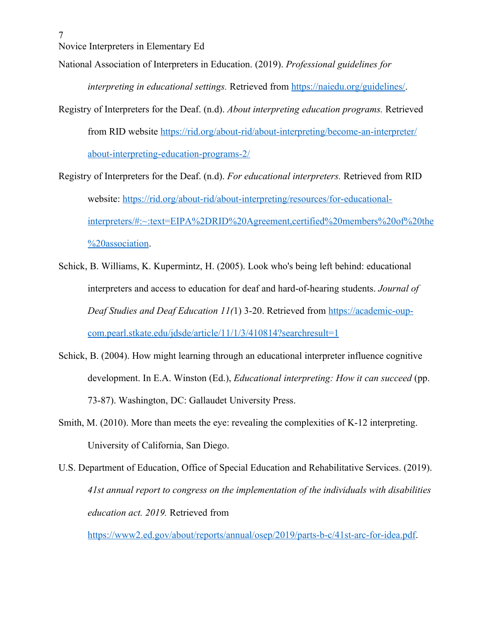7

National Association of Interpreters in Education. (2019). *Professional guidelines for* 

*interpreting in educational settings.* Retrieved from<https://naiedu.org/guidelines/>.

- Registry of Interpreters for the Deaf. (n.d). *About interpreting education programs.* Retrieved from RID website [https://rid.org/about-rid/about-interpreting/become-an-interpreter/](https://rid.org/about-rid/about-interpreting/become-an-interpreter/about-interpreting-education-programs-2/) [about-interpreting-education-programs-2/](https://rid.org/about-rid/about-interpreting/become-an-interpreter/about-interpreting-education-programs-2/)
- Registry of Interpreters for the Deaf. (n.d). *For educational interpreters.* Retrieved from RID website: [https://rid.org/about-rid/about-interpreting/resources/for-educational](https://rid.org/about-rid/about-interpreting/resources/for-educational-interpreters/#:~:text=EIPA-RID%20Agreement,certified%20members%20of%20the%20association)[interpreters/#:~:text=EIPA%2DRID%20Agreement,certified%20members%20of%20the](https://rid.org/about-rid/about-interpreting/resources/for-educational-interpreters/#:~:text=EIPA-RID%20Agreement,certified%20members%20of%20the%20association) [%20association](https://rid.org/about-rid/about-interpreting/resources/for-educational-interpreters/#:~:text=EIPA-RID%20Agreement,certified%20members%20of%20the%20association).
- Schick, B. Williams, K. Kupermintz, H. (2005). Look who's being left behind: educational interpreters and access to education for deaf and hard-of-hearing students. *Journal of Deaf Studies and Deaf Education 11(*1) 3-20. Retrieved from [https://academic-oup](https://academic-oup-com.pearl.stkate.edu/jdsde/article/11/1/3/410814?searchresult=1)[com.pearl.stkate.edu/jdsde/article/11/1/3/410814?searchresult=1](https://academic-oup-com.pearl.stkate.edu/jdsde/article/11/1/3/410814?searchresult=1)
- Schick, B. (2004). How might learning through an educational interpreter influence cognitive development. In E.A. Winston (Ed.), *Educational interpreting: How it can succeed* (pp. 73-87). Washington, DC: Gallaudet University Press.
- Smith, M. (2010). More than meets the eye: revealing the complexities of K-12 interpreting. University of California, San Diego.
- U.S. Department of Education, Office of Special Education and Rehabilitative Services. (2019). *41st annual report to congress on the implementation of the individuals with disabilities education act. 2019.* Retrieved from

<https://www2.ed.gov/about/reports/annual/osep/2019/parts-b-c/41st-arc-for-idea.pdf>.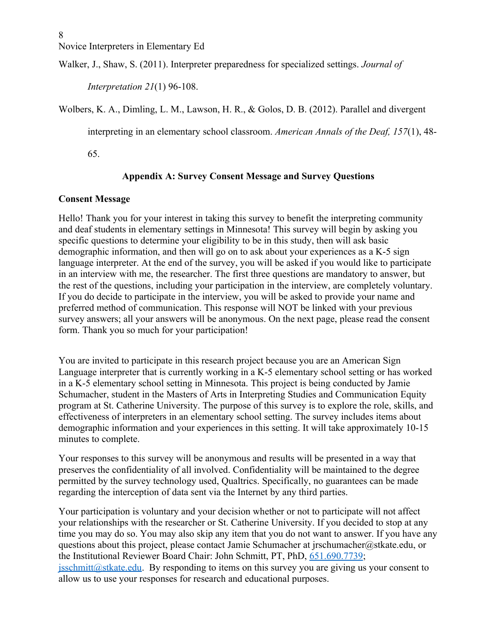Walker, J., Shaw, S. (2011). Interpreter preparedness for specialized settings. *Journal of* 

*Interpretation 21*(1) 96-108.

Wolbers, K. A., Dimling, L. M., Lawson, H. R., & Golos, D. B. (2012). Parallel and divergent

interpreting in an elementary school classroom. *American Annals of the Deaf, 157*(1), 48-

65.

# **Appendix A: Survey Consent Message and Survey Questions**

### **Consent Message**

Hello! Thank you for your interest in taking this survey to benefit the interpreting community and deaf students in elementary settings in Minnesota! This survey will begin by asking you specific questions to determine your eligibility to be in this study, then will ask basic demographic information, and then will go on to ask about your experiences as a K-5 sign language interpreter. At the end of the survey, you will be asked if you would like to participate in an interview with me, the researcher. The first three questions are mandatory to answer, but the rest of the questions, including your participation in the interview, are completely voluntary. If you do decide to participate in the interview, you will be asked to provide your name and preferred method of communication. This response will NOT be linked with your previous survey answers; all your answers will be anonymous. On the next page, please read the consent form. Thank you so much for your participation!

You are invited to participate in this research project because you are an American Sign Language interpreter that is currently working in a K-5 elementary school setting or has worked in a K-5 elementary school setting in Minnesota. This project is being conducted by Jamie Schumacher, student in the Masters of Arts in Interpreting Studies and Communication Equity program at St. Catherine University. The purpose of this survey is to explore the role, skills, and effectiveness of interpreters in an elementary school setting. The survey includes items about demographic information and your experiences in this setting. It will take approximately 10-15 minutes to complete.

Your responses to this survey will be anonymous and results will be presented in a way that preserves the confidentiality of all involved. Confidentiality will be maintained to the degree permitted by the survey technology used, Qualtrics. Specifically, no guarantees can be made regarding the interception of data sent via the Internet by any third parties.

Your participation is voluntary and your decision whether or not to participate will not affect your relationships with the researcher or St. Catherine University. If you decided to stop at any time you may do so. You may also skip any item that you do not want to answer. If you have any questions about this project, please contact Jamie Schumacher at jrschumacher@stkate.edu, or the Institutional Reviewer Board Chair: John Schmitt, PT, PhD, [651.690.7739](tel:(651)%20690-7739);  $jsschmitt@stkate.edu.$  By responding to items on this survey you are giving us your consent to allow us to use your responses for research and educational purposes.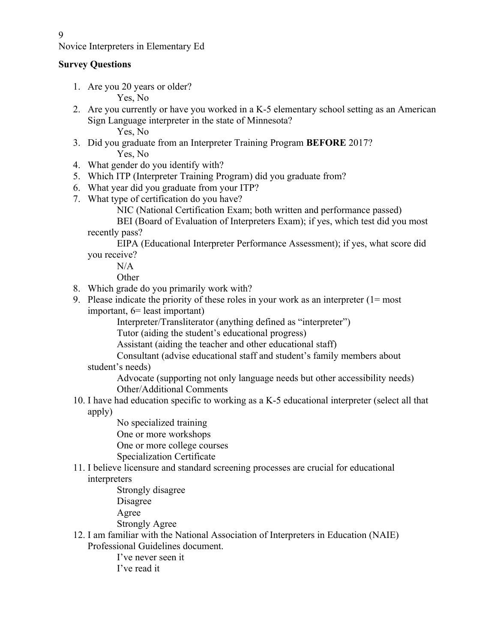### **Survey Questions**

1. Are you 20 years or older?

Yes, No

- 2. Are you currently or have you worked in a K-5 elementary school setting as an American Sign Language interpreter in the state of Minnesota? Yes, No
- 3. Did you graduate from an Interpreter Training Program **BEFORE** 2017? Yes, No
- 4. What gender do you identify with?
- 5. Which ITP (Interpreter Training Program) did you graduate from?
- 6. What year did you graduate from your ITP?
- 7. What type of certification do you have?
	- NIC (National Certification Exam; both written and performance passed)

BEI (Board of Evaluation of Interpreters Exam); if yes, which test did you most recently pass?

EIPA (Educational Interpreter Performance Assessment); if yes, what score did you receive?

 $N/A$ 

**Other** 

- 8. Which grade do you primarily work with?
- 9. Please indicate the priority of these roles in your work as an interpreter (1= most important, 6= least important)

Interpreter/Transliterator (anything defined as "interpreter")

Tutor (aiding the student's educational progress)

Assistant (aiding the teacher and other educational staff)

Consultant (advise educational staff and student's family members about

# student's needs)

Advocate (supporting not only language needs but other accessibility needs) Other/Additional Comments

- 10. I have had education specific to working as a K-5 educational interpreter (select all that apply)
	- No specialized training
	- One or more workshops
	- One or more college courses
	- Specialization Certificate
- 11. I believe licensure and standard screening processes are crucial for educational

interpreters

Strongly disagree Disagree Agree

Strongly Agree

12. I am familiar with the National Association of Interpreters in Education (NAIE) Professional Guidelines document.

> I've never seen it I've read it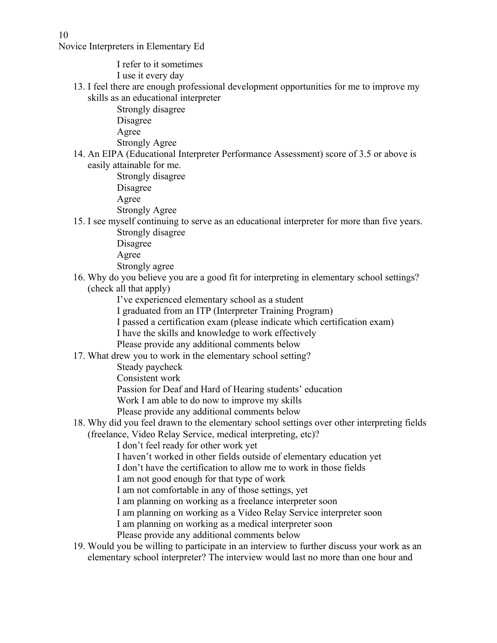I refer to it sometimes I use it every day

- 13. I feel there are enough professional development opportunities for me to improve my skills as an educational interpreter
	- Strongly disagree Disagree Agree Strongly Agree
- 14. An EIPA (Educational Interpreter Performance Assessment) score of 3.5 or above is easily attainable for me.

Strongly disagree Disagree Agree Strongly Agree

- 15. I see myself continuing to serve as an educational interpreter for more than five years. Strongly disagree
	- Disagree

Agree

Strongly agree

- 16. Why do you believe you are a good fit for interpreting in elementary school settings? (check all that apply)
	- I've experienced elementary school as a student
	- I graduated from an ITP (Interpreter Training Program)
	- I passed a certification exam (please indicate which certification exam)
	- I have the skills and knowledge to work effectively
	- Please provide any additional comments below
- 17. What drew you to work in the elementary school setting?
	- Steady paycheck
	- Consistent work
	- Passion for Deaf and Hard of Hearing students' education
	- Work I am able to do now to improve my skills
	- Please provide any additional comments below
- 18. Why did you feel drawn to the elementary school settings over other interpreting fields (freelance, Video Relay Service, medical interpreting, etc)?
	- I don't feel ready for other work yet
	- I haven't worked in other fields outside of elementary education yet
	- I don't have the certification to allow me to work in those fields
	- I am not good enough for that type of work
	- I am not comfortable in any of those settings, yet
	- I am planning on working as a freelance interpreter soon
	- I am planning on working as a Video Relay Service interpreter soon
	- I am planning on working as a medical interpreter soon
	- Please provide any additional comments below
- 19. Would you be willing to participate in an interview to further discuss your work as an elementary school interpreter? The interview would last no more than one hour and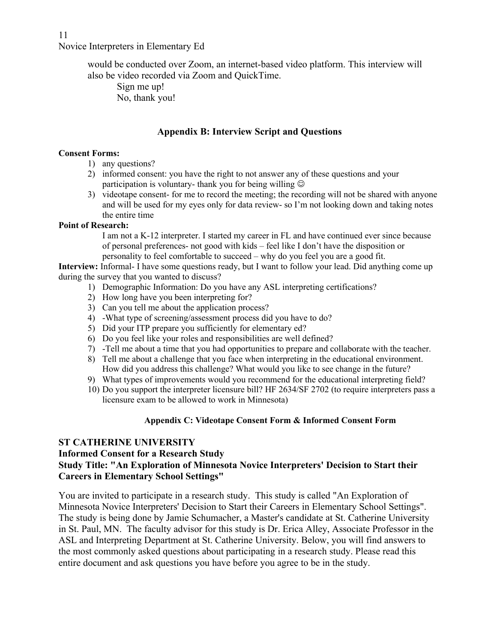> would be conducted over Zoom, an internet-based video platform. This interview will also be video recorded via Zoom and QuickTime.

Sign me up! No, thank you!

## **Appendix B: Interview Script and Questions**

#### **Consent Forms:**

- 1) any questions?
- 2) informed consent: you have the right to not answer any of these questions and your participation is voluntary- thank you for being willing  $\odot$
- 3) videotape consent- for me to record the meeting; the recording will not be shared with anyone and will be used for my eyes only for data review- so I'm not looking down and taking notes the entire time

#### **Point of Research:**

I am not a K-12 interpreter. I started my career in FL and have continued ever since because of personal preferences- not good with kids – feel like I don't have the disposition or personality to feel comfortable to succeed – why do you feel you are a good fit.

**Interview:** Informal- I have some questions ready, but I want to follow your lead. Did anything come up during the survey that you wanted to discuss?

- 1) Demographic Information: Do you have any ASL interpreting certifications?
- 2) How long have you been interpreting for?
- 3) Can you tell me about the application process?
- 4) -What type of screening/assessment process did you have to do?
- 5) Did your ITP prepare you sufficiently for elementary ed?
- 6) Do you feel like your roles and responsibilities are well defined?
- 7) -Tell me about a time that you had opportunities to prepare and collaborate with the teacher.
- 8) Tell me about a challenge that you face when interpreting in the educational environment. How did you address this challenge? What would you like to see change in the future?
- 9) What types of improvements would you recommend for the educational interpreting field?
- 10) Do you support the interpreter licensure bill? HF 2634/SF 2702 (to require interpreters pass a licensure exam to be allowed to work in Minnesota)

### **Appendix C: Videotape Consent Form & Informed Consent Form**

## **ST CATHERINE UNIVERSITY**

## **Informed Consent for a Research Study Study Title: "An Exploration of Minnesota Novice Interpreters' Decision to Start their Careers in Elementary School Settings"**

You are invited to participate in a research study. This study is called "An Exploration of Minnesota Novice Interpreters' Decision to Start their Careers in Elementary School Settings". The study is being done by Jamie Schumacher, a Master's candidate at St. Catherine University in St. Paul, MN. The faculty advisor for this study is Dr. Erica Alley, Associate Professor in the ASL and Interpreting Department at St. Catherine University. Below, you will find answers to the most commonly asked questions about participating in a research study. Please read this entire document and ask questions you have before you agree to be in the study.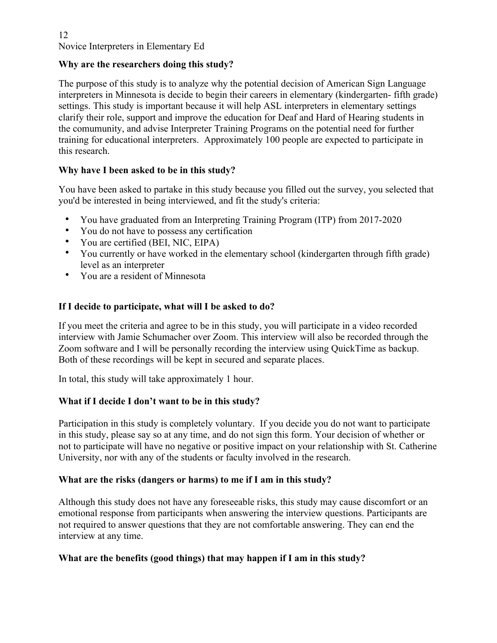## **Why are the researchers doing this study?**

The purpose of this study is to analyze why the potential decision of American Sign Language interpreters in Minnesota is decide to begin their careers in elementary (kindergarten- fifth grade) settings. This study is important because it will help ASL interpreters in elementary settings clarify their role, support and improve the education for Deaf and Hard of Hearing students in the comumunity, and advise Interpreter Training Programs on the potential need for further training for educational interpreters. Approximately 100 people are expected to participate in this research.

## **Why have I been asked to be in this study?**

You have been asked to partake in this study because you filled out the survey, you selected that you'd be interested in being interviewed, and fit the study's criteria:

- You have graduated from an Interpreting Training Program (ITP) from 2017-2020
- You do not have to possess any certification
- You are certified (BEI, NIC, EIPA)
- You currently or have worked in the elementary school (kindergarten through fifth grade) level as an interpreter
- You are a resident of Minnesota

## **If I decide to participate, what will I be asked to do?**

If you meet the criteria and agree to be in this study, you will participate in a video recorded interview with Jamie Schumacher over Zoom. This interview will also be recorded through the Zoom software and I will be personally recording the interview using QuickTime as backup. Both of these recordings will be kept in secured and separate places.

In total, this study will take approximately 1 hour.

# **What if I decide I don't want to be in this study?**

Participation in this study is completely voluntary. If you decide you do not want to participate in this study, please say so at any time, and do not sign this form. Your decision of whether or not to participate will have no negative or positive impact on your relationship with St. Catherine University, nor with any of the students or faculty involved in the research.

## **What are the risks (dangers or harms) to me if I am in this study?**

Although this study does not have any foreseeable risks, this study may cause discomfort or an emotional response from participants when answering the interview questions. Participants are not required to answer questions that they are not comfortable answering. They can end the interview at any time.

# **What are the benefits (good things) that may happen if I am in this study?**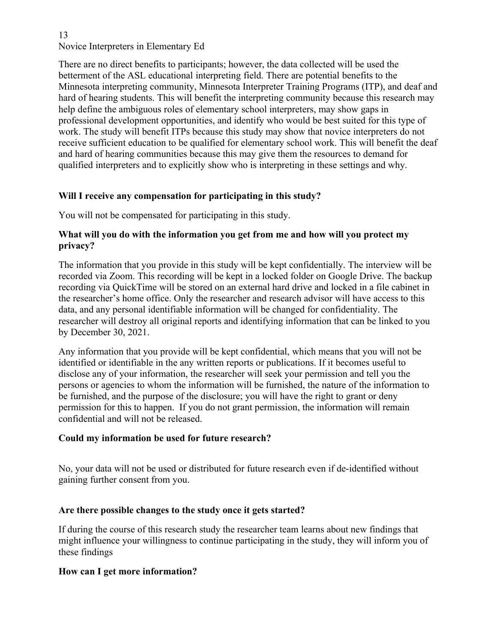There are no direct benefits to participants; however, the data collected will be used the betterment of the ASL educational interpreting field. There are potential benefits to the Minnesota interpreting community, Minnesota Interpreter Training Programs (ITP), and deaf and hard of hearing students. This will benefit the interpreting community because this research may help define the ambiguous roles of elementary school interpreters, may show gaps in professional development opportunities, and identify who would be best suited for this type of work. The study will benefit ITPs because this study may show that novice interpreters do not receive sufficient education to be qualified for elementary school work. This will benefit the deaf and hard of hearing communities because this may give them the resources to demand for qualified interpreters and to explicitly show who is interpreting in these settings and why.

# **Will I receive any compensation for participating in this study?**

You will not be compensated for participating in this study.

# **What will you do with the information you get from me and how will you protect my privacy?**

The information that you provide in this study will be kept confidentially. The interview will be recorded via Zoom. This recording will be kept in a locked folder on Google Drive. The backup recording via QuickTime will be stored on an external hard drive and locked in a file cabinet in the researcher's home office. Only the researcher and research advisor will have access to this data, and any personal identifiable information will be changed for confidentiality. The researcher will destroy all original reports and identifying information that can be linked to you by December 30, 2021.

Any information that you provide will be kept confidential, which means that you will not be identified or identifiable in the any written reports or publications. If it becomes useful to disclose any of your information, the researcher will seek your permission and tell you the persons or agencies to whom the information will be furnished, the nature of the information to be furnished, and the purpose of the disclosure; you will have the right to grant or deny permission for this to happen. If you do not grant permission, the information will remain confidential and will not be released.

# **Could my information be used for future research?**

No, your data will not be used or distributed for future research even if de-identified without gaining further consent from you.

# **Are there possible changes to the study once it gets started?**

If during the course of this research study the researcher team learns about new findings that might influence your willingness to continue participating in the study, they will inform you of these findings

# **How can I get more information?**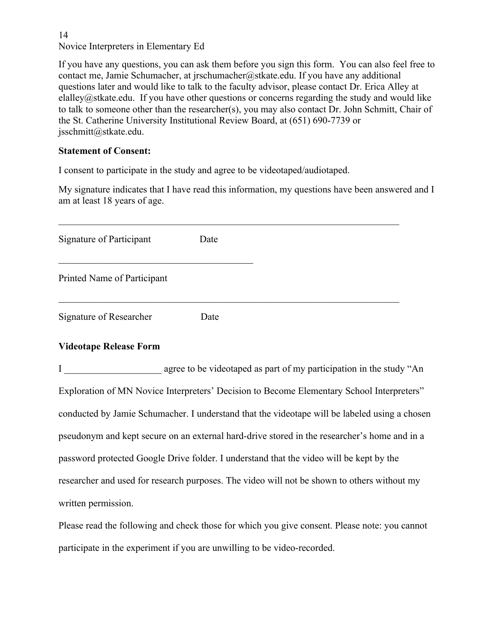If you have any questions, you can ask them before you sign this form. You can also feel free to contact me, Jamie Schumacher, at jrschumacher@stkate.edu. If you have any additional questions later and would like to talk to the faculty advisor, please contact Dr. Erica Alley at elalley@stkate.edu. If you have other questions or concerns regarding the study and would like to talk to someone other than the researcher(s), you may also contact Dr. John Schmitt, Chair of the St. Catherine University Institutional Review Board, at (651) 690-7739 or jsschmitt@stkate.edu.

## **Statement of Consent:**

I consent to participate in the study and agree to be videotaped/audiotaped.

My signature indicates that I have read this information, my questions have been answered and I am at least 18 years of age.

| Signature of Participant    | Date |
|-----------------------------|------|
| Printed Name of Participant |      |
| Signature of Researcher     | Date |

# **Videotape Release Form**

I agree to be videotaped as part of my participation in the study "An Exploration of MN Novice Interpreters' Decision to Become Elementary School Interpreters" conducted by Jamie Schumacher. I understand that the videotape will be labeled using a chosen pseudonym and kept secure on an external hard-drive stored in the researcher's home and in a password protected Google Drive folder. I understand that the video will be kept by the researcher and used for research purposes. The video will not be shown to others without my written permission.

Please read the following and check those for which you give consent. Please note: you cannot participate in the experiment if you are unwilling to be video-recorded.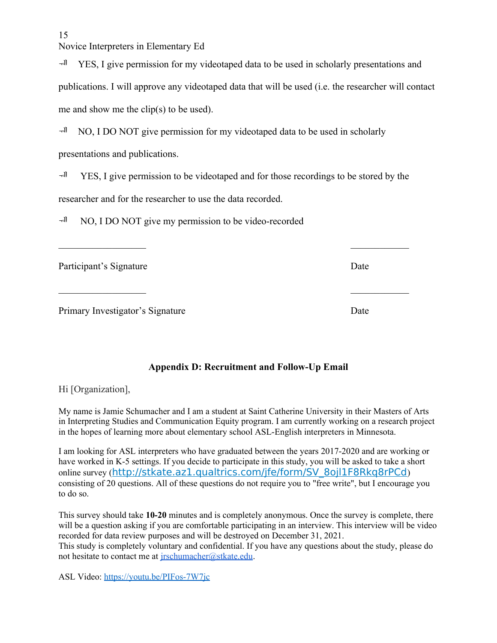$H^{\text{H}}$  YES, I give permission for my videotaped data to be used in scholarly presentations and publications. I will approve any videotaped data that will be used (i.e. the researcher will contact me and show me the clip(s) to be used).

 $H<sup>1</sup>$  NO, I DO NOT give permission for my videotaped data to be used in scholarly presentations and publications.

 $H^{\text{H}}$  YES, I give permission to be videotaped and for those recordings to be stored by the researcher and for the researcher to use the data recorded.

 $\mathcal{L}_\text{max}$  and  $\mathcal{L}_\text{max}$  and  $\mathcal{L}_\text{max}$  and  $\mathcal{L}_\text{max}$  and  $\mathcal{L}_\text{max}$ 

 $\mathcal{L}_\text{max}$  , and the contract of the contract of the contract of the contract of the contract of the contract of

 $H^{\parallel}$  NO, I DO NOT give my permission to be video-recorded

Participant's Signature Date Date Date

Primary Investigator's Signature Date Date

# **Appendix D: Recruitment and Follow-Up Email**

Hi [Organization],

My name is Jamie Schumacher and I am a student at Saint Catherine University in their Masters of Arts in Interpreting Studies and Communication Equity program. I am currently working on a research project in the hopes of learning more about elementary school ASL-English interpreters in Minnesota.

I am looking for ASL interpreters who have graduated between the years 2017-2020 and are working or have worked in K-5 settings. If you decide to participate in this study, you will be asked to take a short online survey ([http://stkate.az1.qualtrics.com/jfe/form/SV\\_8ojl1F8Rkq8rPCd](http://stkate.az1.qualtrics.com/jfe/form/SV_8ojl1F8Rkq8rPCd)) consisting of 20 questions. All of these questions do not require you to "free write", but I encourage you to do so.

This survey should take **10-20** minutes and is completely anonymous. Once the survey is complete, there will be a question asking if you are comfortable participating in an interview. This interview will be video recorded for data review purposes and will be destroyed on December 31, 2021. This study is completely voluntary and confidential. If you have any questions about the study, please do not hesitate to contact me at [jrschumacher@stkate.edu.](mailto:jrschumacher@stkate.edu)

ASL Video:<https://youtu.be/PIFos-7W7jc>